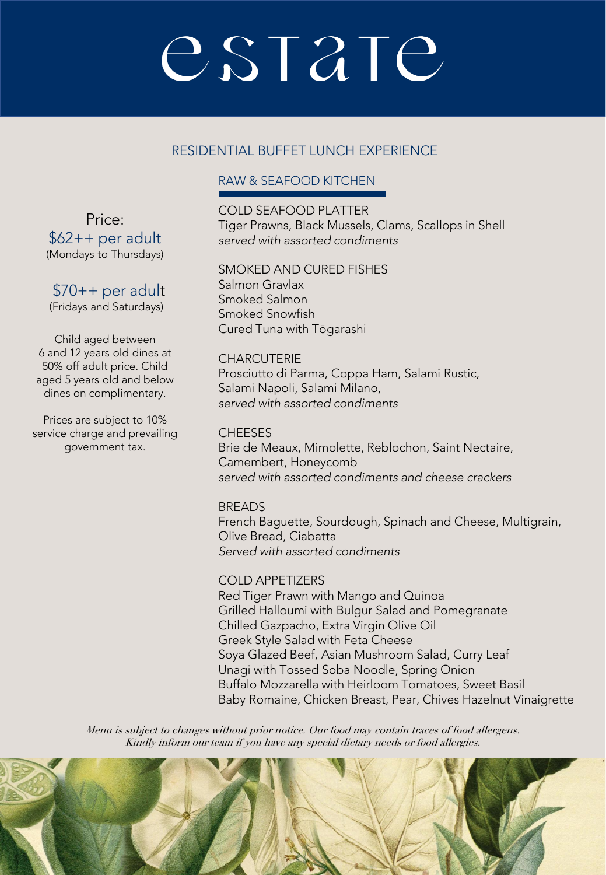# estate

## RESIDENTIAL BUFFET LUNCH EXPERIENCE

### RAW & SEAFOOD KITCHEN

COLD SEAFOOD PLATTER Tiger Prawns, Black Mussels, Clams, Scallops in Shell *served with assorted condiments*

#### SMOKED AND CURED FISHES

Salmon Gravlax Smoked Salmon Smoked Snowfish Cured Tuna with Tōgarashi

#### **CHARCUTERIE**

Prosciutto di Parma, Coppa Ham, Salami Rustic, Salami Napoli, Salami Milano, *served with assorted condiments*

#### **CHEESES**

Brie de Meaux, Mimolette, Reblochon, Saint Nectaire, Camembert, Honeycomb *served with assorted condiments and cheese crackers*

#### **BREADS**

French Baguette, Sourdough, Spinach and Cheese, Multigrain, Olive Bread, Ciabatta *Served with assorted condiments*

#### COLD APPETIZERS

Red Tiger Prawn with Mango and Quinoa Grilled Halloumi with Bulgur Salad and Pomegranate Chilled Gazpacho, Extra Virgin Olive Oil Greek Style Salad with Feta Cheese Soya Glazed Beef, Asian Mushroom Salad, Curry Leaf Unagi with Tossed Soba Noodle, Spring Onion Buffalo Mozzarella with Heirloom Tomatoes, Sweet Basil Baby Romaine, Chicken Breast, Pear, Chives Hazelnut Vinaigrette

Menu is subject to changes without prior notice. Our food may contain traces of food allergens. Kindly inform our team if you have any special dietary needs or food allergies.



Price: \$62++ per adult (Mondays to Thursdays)

### \$70++ per adult

(Fridays and Saturdays)

Child aged between 6 and 12 years old dines at 50% off adult price. Child aged 5 years old and below dines on complimentary.

Prices are subject to 10% service charge and prevailing government tax.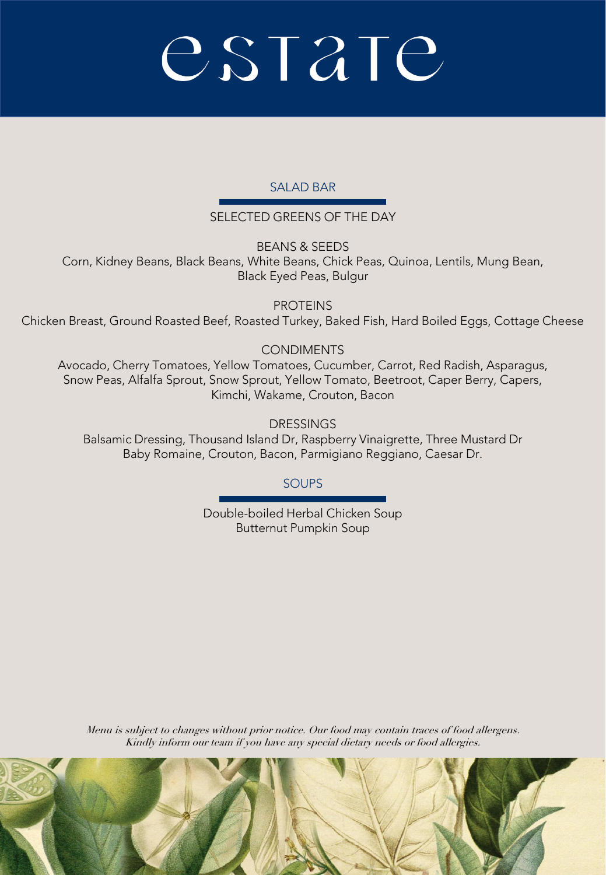estate

#### SALAD BAR

#### SELECTED GREENS OF THE DAY

BEANS & SEEDS Corn, Kidney Beans, Black Beans, White Beans, Chick Peas, Quinoa, Lentils, Mung Bean, Black Eyed Peas, Bulgur

PROTEINS Chicken Breast, Ground Roasted Beef, Roasted Turkey, Baked Fish, Hard Boiled Eggs, Cottage Cheese

#### **CONDIMENTS**

Avocado, Cherry Tomatoes, Yellow Tomatoes, Cucumber, Carrot, Red Radish, Asparagus, Snow Peas, Alfalfa Sprout, Snow Sprout, Yellow Tomato, Beetroot, Caper Berry, Capers, Kimchi, Wakame, Crouton, Bacon

**DRESSINGS** 

Balsamic Dressing, Thousand Island Dr, Raspberry Vinaigrette, Three Mustard Dr Baby Romaine, Crouton, Bacon, Parmigiano Reggiano, Caesar Dr.

SOUPS

Double-boiled Herbal Chicken Soup Butternut Pumpkin Soup

Menu is subject to changes without prior notice. Our food may contain traces of food allergens. Kindly inform our team if you have any special dietary needs or food allergies.

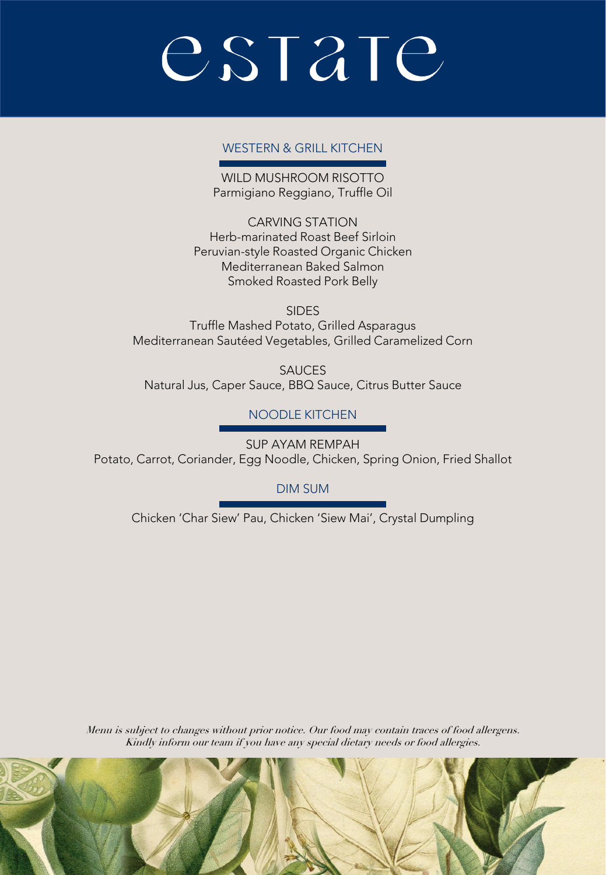# estate

#### WESTERN & GRILL KITCHEN

WILD MUSHROOM RISOTTO Parmigiano Reggiano, Truffle Oil

CARVING STATION Herb-marinated Roast Beef Sirloin Peruvian-style Roasted Organic Chicken Mediterranean Baked Salmon Smoked Roasted Pork Belly

SIDES Truffle Mashed Potato, Grilled Asparagus Mediterranean Sautéed Vegetables, Grilled Caramelized Corn

**SAUCES** Natural Jus, Caper Sauce, BBQ Sauce, Citrus Butter Sauce

#### NOODLE KITCHEN

SUP AYAM REMPAH Potato, Carrot, Coriander, Egg Noodle, Chicken, Spring Onion, Fried Shallot

#### DIM SUM

Chicken 'Char Siew' Pau, Chicken 'Siew Mai', Crystal Dumpling

Menu is subject to changes without prior notice. Our food may contain traces of food allergens. Kindly inform our team if you have any special dietary needs or food allergies.